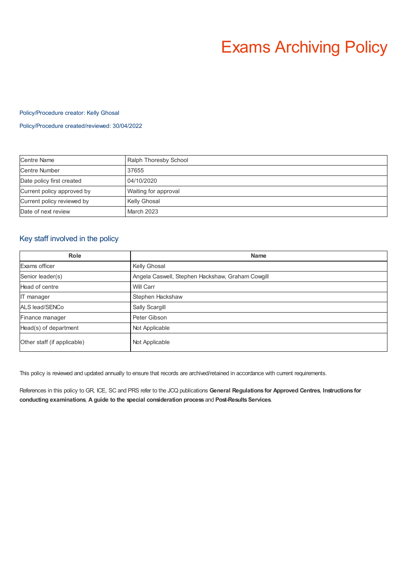# Exams Archiving Policy

## Policy/Procedure creator: Kelly Ghosal

## Policy/Procedure created/reviewed: 30/04/2022

| <b>Centre Name</b>         | Ralph Thoresby School |
|----------------------------|-----------------------|
| Centre Number              | 37655                 |
| Date policy first created  | 04/10/2020            |
| Current policy approved by | Waiting for approval  |
| Current policy reviewed by | Kelly Ghosal          |
| Date of next review        | March 2023            |

# Key staff involved in the policy

| <b>Role</b>                 | <b>Name</b>                                      |
|-----------------------------|--------------------------------------------------|
| Exams officer               | Kelly Ghosal                                     |
| Senior leader(s)            | Angela Caswell, Stephen Hackshaw, Graham Cowgill |
| Head of centre              | Will Carr                                        |
| IT manager                  | Stephen Hackshaw                                 |
| ALS lead/SENCo              | Sally Scargill                                   |
| Finance manager             | Peter Gibson                                     |
| Head(s) of department       | Not Applicable                                   |
| Other staff (if applicable) | Not Applicable                                   |

This policy is reviewed and updated annually to ensure that records are archived/retained in accordance with current requirements.

References in this policy to GR, ICE, SC and PRS refer to the JCQ publications **General Regulations for Approved Centres**, **Instructions for conducting examinations**, **A guide to the special consideration process** and **Post-ResultsServices**.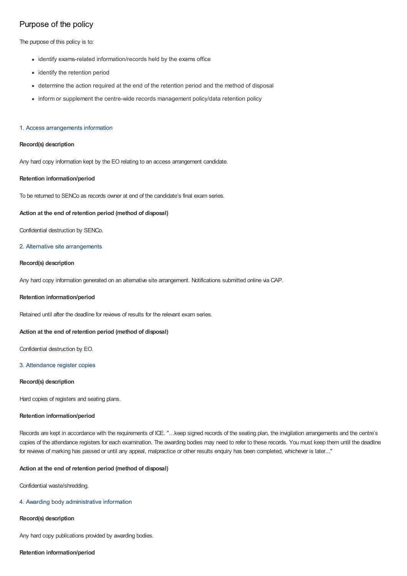# Purpose of the policy

The purpose of this policy is to:

- identify exams-related information/records held by the exams office
- identify the retention period
- determine the action required at the end of the retention period and the method of disposal
- inform or supplement the centre-wide records management policy/data retention policy

## 1. Access arrangements information

## **Record(s) description**

Any hard copy information kept by the EO relating to an access arrangement candidate.

## **Retention information/period**

To be returned to SENCo as records owner at end of the candidate's final exam series.

## **Action at the end of retention period (method of disposal)**

Confidential destruction by SENCo.

## 2. Alternative site arrangements

## **Record(s) description**

Any hard copy information generated on an alternative site arrangement. Notifications submitted online via CAP.

#### **Retention information/period**

Retained until after the deadline for reviews of results for the relevant exam series.

#### **Action at the end of retention period (method of disposal)**

Confidential destruction by EO.

## 3. Attendance register copies

#### **Record(s) description**

Hard copies of registers and seating plans.

## **Retention information/period**

Records are kept in accordance with the requirements of ICE. "…keep signed records of the seating plan, the invigilation arrangements and the centre's copies of the attendance registers for each examination. The awarding bodies may need to refer to these records. You must keep them until the deadline for reviews of marking has passed or until any appeal, malpractice or other results enquiry has been completed, whichever is later..."

## **Action at the end of retention period (method of disposal)**

Confidential waste/shredding.

#### 4. Awarding body administrative information

## **Record(s) description**

Any hard copy publications provided by awarding bodies.

## **Retention information/period**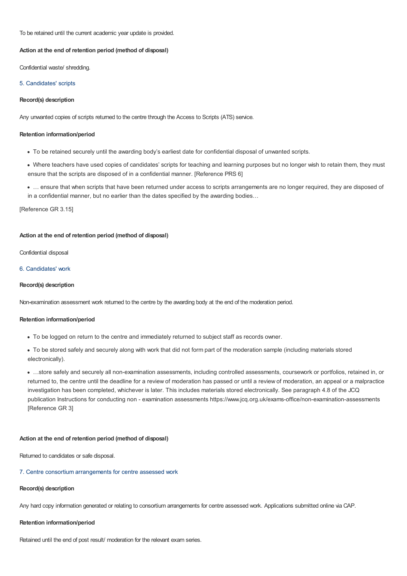To be retained until the current academic year update is provided.

## **Action at the end of retention period (method of disposal)**

Confidential waste/ shredding.

## 5. Candidates' scripts

## **Record(s) description**

Any unwanted copies of scripts returned to the centre through the Access to Scripts (ATS) service.

## **Retention information/period**

- To be retained securely until the awarding body's earliest date for confidential disposal of unwanted scripts.
- Where teachers have used copies of candidates' scripts for teaching and learning purposes but no longer wish to retain them, they must ensure that the scripts are disposed of in a confidential manner. [Reference PRS 6]
- … ensure that when scripts that have been returned under access to scripts arrangements are no longer required, they are disposed of in a confidential manner, but no earlier than the dates specified by the awarding bodies…

[Reference GR 3.15]

## **Action at the end of retention period (method of disposal)**

Confidential disposal

## 6. Candidates' work

## **Record(s) description**

Non-examination assessment work returned to the centre by the awarding body at the end of the moderation period.

## **Retention information/period**

- To be logged on return to the centre and immediately returned to subject staff as records owner.
- To be stored safely and securely along with work that did not form part of the moderation sample (including materials stored electronically).

…store safely and securely all non-examination assessments, including controlled assessments, coursework or portfolios, retained in, or returned to, the centre until the deadline for a review of moderation has passed or until a review of moderation, an appeal or a malpractice investigation has been completed, whichever is later. This includes materials stored electronically. See paragraph 4.8 of the JCQ publication Instructions for conducting non - examination assessments https://www.jcq.org.uk/exams-office/non-examination-assessments [Reference GR 3]

## **Action at the end of retention period (method of disposal)**

Returned to candidates or safe disposal.

#### 7. Centre consortium arrangements for centre assessed work

#### **Record(s) description**

Any hard copy information generated or relating to consortium arrangements for centre assessed work. Applications submitted online via CAP.

## **Retention information/period**

Retained until the end of post result/ moderation for the relevant exam series.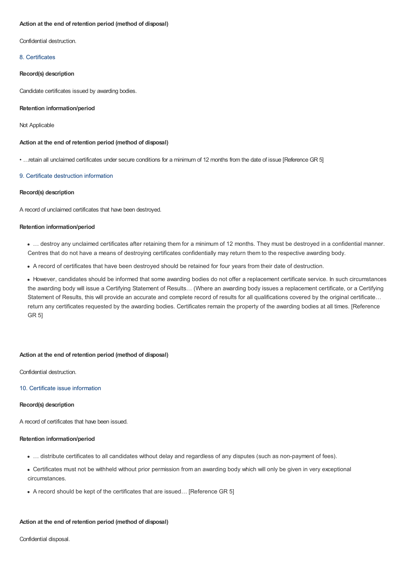## **Action at the end of retention period (method of disposal)**

Confidential destruction.

## 8. Certificates

## **Record(s) description**

Candidate certificates issued by awarding bodies.

## **Retention information/period**

## Not Applicable

## **Action at the end of retention period (method of disposal)**

• …retain all unclaimed certificates under secure conditions for a minimum of 12 months from the date of issue [Reference GR 5]

## 9. Certificate destruction information

## **Record(s) description**

A record of unclaimed certificates that have been destroyed.

## **Retention information/period**

… destroy any unclaimed certificates after retaining them for a minimum of 12 months. They must be destroyed in a confidential manner. Centres that do not have a means of destroying certificates confidentially may return them to the respective awarding body.

A record of certificates that have been destroyed should be retained for four years from their date of destruction.

However, candidates should be informed that some awarding bodies do not offer a replacement certificate service. In such circumstances the awarding body will issue a Certifying Statement of Results… (Where an awarding body issues a replacement certificate, or a Certifying Statement of Results, this will provide an accurate and complete record of results for all qualifications covered by the original certificate… return any certificates requested by the awarding bodies. Certificates remain the property of the awarding bodies at all times. [Reference GR 5]

## **Action at the end of retention period (method of disposal)**

Confidential destruction.

#### 10. Certificate issue information

#### **Record(s) description**

A record of certificates that have been issued.

#### **Retention information/period**

- … distribute certificates to all candidates without delay and regardless of any disputes (such as non-payment of fees).
- Certificates must not be withheld without prior permission from an awarding body which will only be given in very exceptional circumstances.
- A record should be kept of the certificates that are issued… [Reference GR 5]

## **Action at the end of retention period (method of disposal)**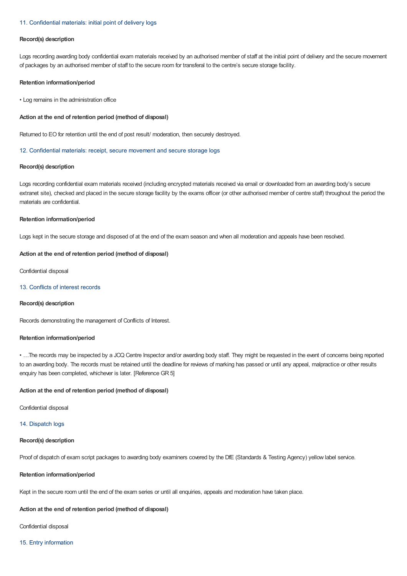#### 11. Confidential materials: initial point of delivery logs

#### **Record(s) description**

Logs recording awarding body confidential exam materials received by an authorised member of staff at the initial point of delivery and the secure movement of packages by an authorised member of staff to the secure room for transferal to the centre's secure storage facility.

## **Retention information/period**

• Log remains in the administration office

#### **Action at the end of retention period (method of disposal)**

Returned to EO for retention until the end of post result/ moderation, then securely destroyed.

#### 12. Confidential materials: receipt, secure movement and secure storage logs

#### **Record(s) description**

Logs recording confidential exam materials received (including encrypted materials received via email or downloaded from an awarding body's secure extranet site), checked and placed in the secure storage facility by the exams officer (or other authorised member of centre staff) throughout the period the materials are confidential.

## **Retention information/period**

Logs kept in the secure storage and disposed of at the end of the exam season and when all moderation and appeals have been resolved.

## **Action at the end of retention period (method of disposal)**

Confidential disposal

## 13. Conflicts of interest records

## **Record(s) description**

Records demonstrating the management of Conflicts of Interest.

#### **Retention information/period**

• …The records may be inspected by a JCQ Centre Inspector and/or awarding body staff. They might be requested in the event of concerns being reported to an awarding body. The records must be retained until the deadline for reviews of marking has passed or until any appeal, malpractice or other results enquiry has been completed, whichever is later. [Reference GR 5]

#### **Action at the end of retention period (method of disposal)**

Confidential disposal

## 14. Dispatch logs

#### **Record(s) description**

Proof of dispatch of exam script packages to awarding body examiners covered by the DfE (Standards & Testing Agency) yellow label service.

## **Retention information/period**

Kept in the secure room until the end of the exam series or until all enquiries, appeals and moderation have taken place.

## **Action at the end of retention period (method of disposal)**

Confidential disposal

## 15. Entry information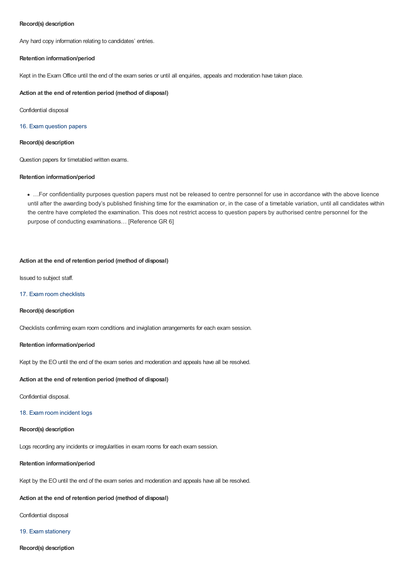## **Record(s) description**

Any hard copy information relating to candidates' entries.

## **Retention information/period**

Kept in the Exam Office until the end of the exam series or until all enquiries, appeals and moderation have taken place.

## **Action at the end of retention period (method of disposal)**

Confidential disposal

## 16. Exam question papers

## **Record(s) description**

Question papers for timetabled written exams.

## **Retention information/period**

…For confidentiality purposes question papers must not be released to centre personnel for use in accordance with the above licence until after the awarding body's published finishing time for the examination or, in the case of a timetable variation, until all candidates within the centre have completed the examination. This does not restrict access to question papers by authorised centre personnel for the purpose of conducting examinations… [Reference GR 6]

## **Action at the end of retention period (method of disposal)**

Issued to subject staff.

## 17. Exam room checklists

## **Record(s) description**

Checklists confirming exam room conditions and invigilation arrangements for each exam session.

#### **Retention information/period**

Kept by the EO until the end of the exam series and moderation and appeals have all be resolved.

## **Action at the end of retention period (method of disposal)**

Confidential disposal.

## 18. Exam room incident logs

## **Record(s) description**

Logs recording any incidents or irregularities in exam rooms for each exam session.

## **Retention information/period**

Kept by the EO until the end of the exam series and moderation and appeals have all be resolved.

## **Action at the end of retention period (method of disposal)**

Confidential disposal

#### 19. Exam stationery

**Record(s) description**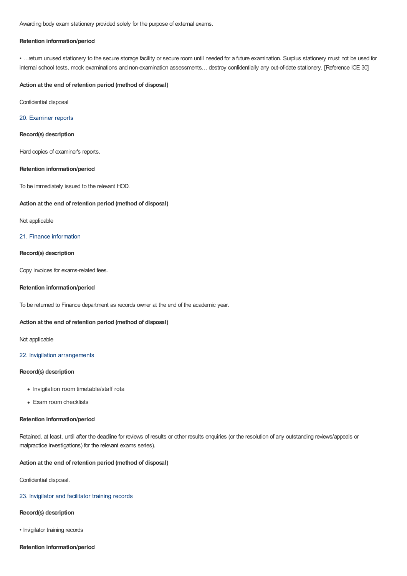Awarding body exam stationery provided solely for the purpose of external exams.

## **Retention information/period**

• …return unused stationery to the secure storage facility or secure room until needed for a future examination. Surplus stationery must not be used for internal school tests, mock examinations and non-examination assessments… destroy confidentially any out-of-date stationery. [Reference ICE 30]

#### **Action at the end of retention period (method of disposal)**

Confidential disposal

#### 20. Examiner reports

#### **Record(s) description**

Hard copies of examiner's reports.

## **Retention information/period**

To be immediately issued to the relevant HOD.

## **Action at the end of retention period (method of disposal)**

## Not applicable

## 21. Finance information

## **Record(s) description**

Copy invoices for exams-related fees.

#### **Retention information/period**

To be returned to Finance department as records owner at the end of the academic year.

## **Action at the end of retention period (method of disposal)**

Not applicable

## 22. Invigilation arrangements

## **Record(s) description**

- Invigilation room timetable/staff rota
- Exam room checklists

#### **Retention information/period**

Retained, at least, until after the deadline for reviews of results or other results enquiries (or the resolution of any outstanding reviews/appeals or malpractice investigations) for the relevant exams series).

## **Action at the end of retention period (method of disposal)**

Confidential disposal.

## 23. Invigilator and facilitator training records

## **Record(s) description**

• Invigilator training records

## **Retention information/period**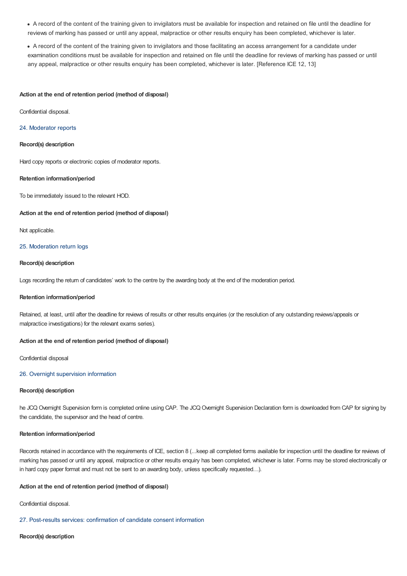- A record of the content of the training given to invigilators must be available for inspection and retained on file until the deadline for reviews of marking has passed or until any appeal, malpractice or other results enquiry has been completed, whichever is later.
- A record of the content of the training given to invigilators and those facilitating an access arrangement for a candidate under examination conditions must be available for inspection and retained on file until the deadline for reviews of marking has passed or until any appeal, malpractice or other results enquiry has been completed, whichever is later. [Reference ICE 12, 13]

#### **Action at the end of retention period (method of disposal)**

Confidential disposal.

#### 24. Moderator reports

## **Record(s) description**

Hard copy reports or electronic copies of moderator reports.

## **Retention information/period**

To be immediately issued to the relevant HOD.

#### **Action at the end of retention period (method of disposal)**

Not applicable.

#### 25. Moderation return logs

## **Record(s) description**

Logs recording the return of candidates' work to the centre by the awarding body at the end of the moderation period.

#### **Retention information/period**

Retained, at least, until after the deadline for reviews of results or other results enquiries (or the resolution of any outstanding reviews/appeals or malpractice investigations) for the relevant exams series).

## **Action at the end of retention period (method of disposal)**

Confidential disposal

## 26. Overnight supervision information

#### **Record(s) description**

he JCQ Overnight Supervision form is completed online using CAP. The JCQ Overnight Supervision Declaration form is downloaded from CAP for signing by the candidate, the supervisor and the head of centre.

#### **Retention information/period**

Records retained in accordance with the requirements of ICE, section 8 (...keep all completed forms available for inspection until the deadline for reviews of marking has passed or until any appeal, malpractice or other results enquiry has been completed, whichever is later. Forms may be stored electronically or in hard copy paper format and must not be sent to an awarding body, unless specifically requested...).

#### **Action at the end of retention period (method of disposal)**

Confidential disposal.

## 27. Post-results services: confirmation of candidate consent information

#### **Record(s) description**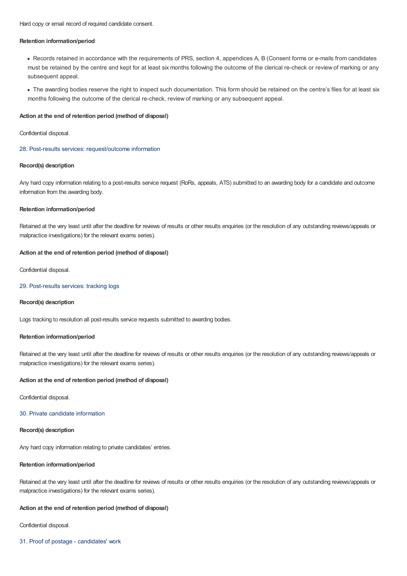Hard copy or email record of required candidate consent.

## **Retention information/period**

Records retained in accordance with the requirements of PRS, section 4, appendices A, B (Consent forms or e-mails from candidates must be retained by the centre and kept for at least six months following the outcome of the clerical re-check or review of marking or any subsequent appeal.

The awarding bodies reserve the right to inspect such documentation. This form should be retained on the centre's files for at least six months following the outcome of the clerical re-check, review of marking or any subsequent appeal.

## **Action at the end of retention period (method of disposal)**

Confidential disposal.

#### 28. Post-results services: request/outcome information

## **Record(s) description**

Any hard copy information relating to a post-results service request (RoRs, appeals, ATS) submitted to an awarding body for a candidate and outcome information from the awarding body.

## **Retention information/period**

Retained at the very least until after the deadline for reviews of results or other results enquiries (or the resolution of any outstanding reviews/appeals or malpractice investigations) for the relevant exams series).

## **Action at the end of retention period (method of disposal)**

Confidential disposal.

## 29. Post-results services: tracking logs

#### **Record(s) description**

Logs tracking to resolution all post-results service requests submitted to awarding bodies.

## **Retention information/period**

Retained at the very least until after the deadline for reviews of results or other results enquiries (or the resolution of any outstanding reviews/appeals or malpractice investigations) for the relevant exams series).

## **Action at the end of retention period (method of disposal)**

Confidential disposal.

## 30. Private candidate information

## **Record(s) description**

Any hard copy information relating to private candidates' entries.

## **Retention information/period**

Retained at the very least until after the deadline for reviews of results or other results enquiries (or the resolution of any outstanding reviews/appeals or malpractice investigations) for the relevant exams series).

## **Action at the end of retention period (method of disposal)**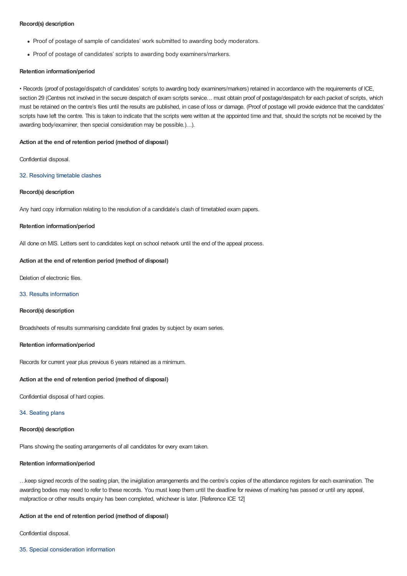## **Record(s) description**

- Proof of postage of sample of candidates' work submitted to awarding body moderators.
- Proof of postage of candidates' scripts to awarding body examiners/markers.

## **Retention information/period**

• Records (proof of postage/dispatch of candidates' scripts to awarding body examiners/markers) retained in accordance with the requirements of ICE, section 29 (Centres not involved in the secure despatch of exam scripts service... must obtain proof of postage/despatch for each packet of scripts, which must be retained on the centre's files until the results are published, in case of loss or damage. (Proof of postage will provide evidence that the candidates' scripts have left the centre. This is taken to indicate that the scripts were written at the appointed time and that, should the scripts not be received by the awarding body/examiner, then special consideration may be possible.)…).

## **Action at the end of retention period (method of disposal)**

Confidential disposal.

## 32. Resolving timetable clashes

## **Record(s) description**

Any hard copy information relating to the resolution of a candidate's clash of timetabled exam papers.

#### **Retention information/period**

All done on MIS. Letters sent to candidates kept on school network until the end of the appeal process.

## **Action at the end of retention period (method of disposal)**

Deletion of electronic files.

## 33. Results information

## **Record(s) description**

Broadsheets of results summarising candidate final grades by subject by exam series.

#### **Retention information/period**

Records for current year plus previous 6 years retained as a minimum.

#### **Action at the end of retention period (method of disposal)**

Confidential disposal of hard copies.

## 34. Seating plans

## **Record(s) description**

Plans showing the seating arrangements of all candidates for every exam taken.

## **Retention information/period**

…keep signed records of the seating plan, the invigilation arrangements and the centre's copies of the attendance registers for each examination. The awarding bodies may need to refer to these records. You must keep them until the deadline for reviews of marking has passed or until any appeal, malpractice or other results enquiry has been completed, whichever is later. [Reference ICE 12]

## **Action at the end of retention period (method of disposal)**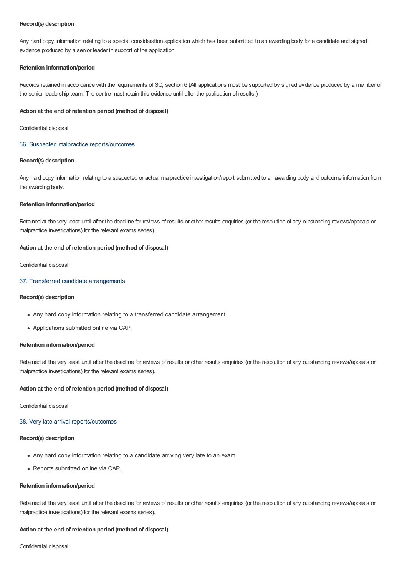## **Record(s) description**

Any hard copy information relating to a special consideration application which has been submitted to an awarding body for a candidate and signed evidence produced by a senior leader in support of the application.

## **Retention information/period**

Records retained in accordance with the requirements of SC, section 6 (All applications must be supported by signed evidence produced by a member of the senior leadership team. The centre must retain this evidence until after the publication of results.)

## **Action at the end of retention period (method of disposal)**

Confidential disposal.

## 36. Suspected malpractice reports/outcomes

## **Record(s) description**

Any hard copy information relating to a suspected or actual malpractice investigation/report submitted to an awarding body and outcome information from the awarding body.

## **Retention information/period**

Retained at the very least until after the deadline for reviews of results or other results enquiries (or the resolution of any outstanding reviews/appeals or malpractice investigations) for the relevant exams series).

## **Action at the end of retention period (method of disposal)**

Confidential disposal.

## 37. Transferred candidate arrangements

## **Record(s) description**

- Any hard copy information relating to a transferred candidate arrangement.
- Applications submitted online via CAP.

#### **Retention information/period**

Retained at the very least until after the deadline for reviews of results or other results enquiries (or the resolution of any outstanding reviews/appeals or malpractice investigations) for the relevant exams series).

## **Action at the end of retention period (method of disposal)**

Confidential disposal

## 38. Very late arrival reports/outcomes

## **Record(s) description**

- Any hard copy information relating to a candidate arriving very late to an exam.
- Reports submitted online via CAP.

## **Retention information/period**

Retained at the very least until after the deadline for reviews of results or other results enquiries (or the resolution of any outstanding reviews/appeals or malpractice investigations) for the relevant exams series).

## **Action at the end of retention period (method of disposal)**